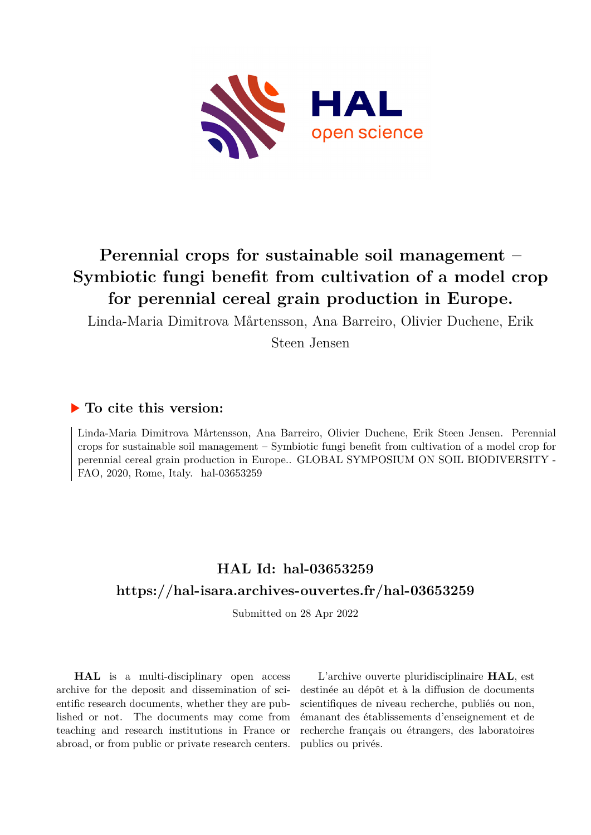

# **Perennial crops for sustainable soil management – Symbiotic fungi benefit from cultivation of a model crop for perennial cereal grain production in Europe.**

Linda-Maria Dimitrova Mårtensson, Ana Barreiro, Olivier Duchene, Erik

Steen Jensen

### **To cite this version:**

Linda-Maria Dimitrova Mårtensson, Ana Barreiro, Olivier Duchene, Erik Steen Jensen. Perennial crops for sustainable soil management – Symbiotic fungi benefit from cultivation of a model crop for perennial cereal grain production in Europe.. GLOBAL SYMPOSIUM ON SOIL BIODIVERSITY - FAO, 2020, Rome, Italy. hal-03653259

## **HAL Id: hal-03653259 <https://hal-isara.archives-ouvertes.fr/hal-03653259>**

Submitted on 28 Apr 2022

**HAL** is a multi-disciplinary open access archive for the deposit and dissemination of scientific research documents, whether they are published or not. The documents may come from teaching and research institutions in France or abroad, or from public or private research centers.

L'archive ouverte pluridisciplinaire **HAL**, est destinée au dépôt et à la diffusion de documents scientifiques de niveau recherche, publiés ou non, émanant des établissements d'enseignement et de recherche français ou étrangers, des laboratoires publics ou privés.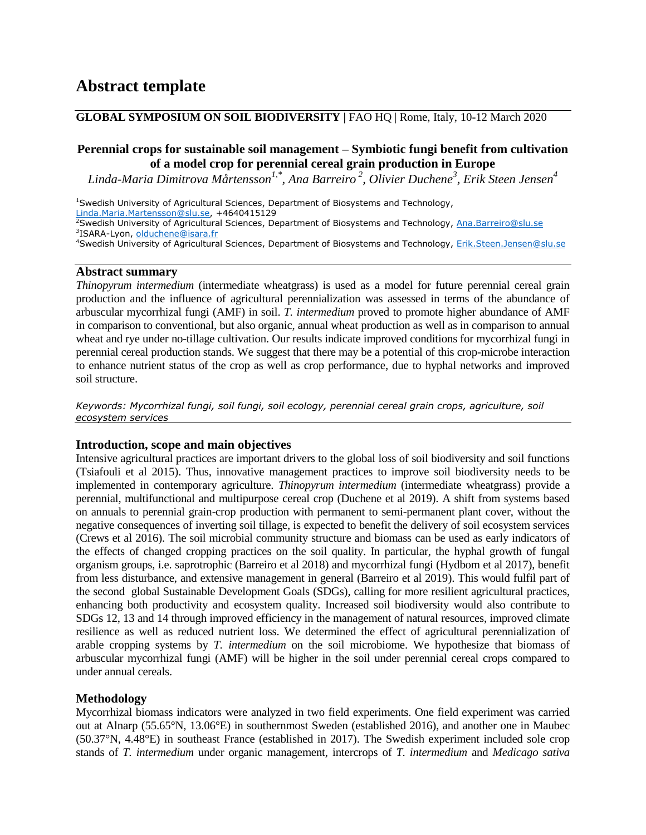#### **GLOBAL SYMPOSIUM ON SOIL BIODIVERSITY |** FAO HQ | Rome, Italy, 10-12 March 2020

#### **Perennial crops for sustainable soil management – Symbiotic fungi benefit from cultivation of a model crop for perennial cereal grain production in Europe**

*Linda-Maria Dimitrova Mårtensson1,\* , Ana Barreiro <sup>2</sup> , Olivier Duchene<sup>3</sup> , Erik Steen Jensen<sup>4</sup>*

<sup>1</sup>Swedish University of Agricultural Sciences, Department of Biosystems and Technology,

[Linda.Maria.Martensson@slu.se,](mailto:Linda.Maria.Martensson@slu.se) +4640415129

<sup>2</sup>Swedish University of Agricultural Sciences, Department of Biosystems and Technology, [Ana.Barreiro@slu.se](mailto:Ana.Barreiro@slu.se) <sup>3</sup>ISARA-Lyon, <u>olduchene@isara.fr</u>

<sup>4</sup>Swedish University of Agricultural Sciences, Department of Biosystems and Technology, [Erik.Steen.Jensen@slu.se](mailto:Erik.Steen.Jensen@slu.se)

#### **Abstract summary**

*Thinopyrum intermedium* (intermediate wheatgrass) is used as a model for future perennial cereal grain production and the influence of agricultural perennialization was assessed in terms of the abundance of arbuscular mycorrhizal fungi (AMF) in soil. *T. intermedium* proved to promote higher abundance of AMF in comparison to conventional, but also organic, annual wheat production as well as in comparison to annual wheat and rye under no-tillage cultivation. Our results indicate improved conditions for mycorrhizal fungi in perennial cereal production stands. We suggest that there may be a potential of this crop-microbe interaction to enhance nutrient status of the crop as well as crop performance, due to hyphal networks and improved soil structure.

*Keywords: Mycorrhizal fungi, soil fungi, soil ecology, perennial cereal grain crops, agriculture, soil ecosystem services*

#### **Introduction, scope and main objectives**

Intensive agricultural practices are important drivers to the global loss of soil biodiversity and soil functions (Tsiafouli et al 2015). Thus, innovative management practices to improve soil biodiversity needs to be implemented in contemporary agriculture. *Thinopyrum intermedium* (intermediate wheatgrass) provide a perennial, multifunctional and multipurpose cereal crop (Duchene et al 2019). A shift from systems based on annuals to perennial grain-crop production with permanent to semi-permanent plant cover, without the negative consequences of inverting soil tillage, is expected to benefit the delivery of soil ecosystem services (Crews et al 2016). The soil microbial community structure and biomass can be used as early indicators of the effects of changed cropping practices on the soil quality. In particular, the hyphal growth of fungal organism groups, i.e. saprotrophic (Barreiro et al 2018) and mycorrhizal fungi (Hydbom et al 2017), benefit from less disturbance, and extensive management in general (Barreiro et al 2019). This would fulfil part of the second global Sustainable Development Goals (SDGs), calling for more resilient agricultural practices, enhancing both productivity and ecosystem quality. Increased soil biodiversity would also contribute to SDGs 12, 13 and 14 through improved efficiency in the management of natural resources, improved climate resilience as well as reduced nutrient loss. We determined the effect of agricultural perennialization of arable cropping systems by *T. intermedium* on the soil microbiome. We hypothesize that biomass of arbuscular mycorrhizal fungi (AMF) will be higher in the soil under perennial cereal crops compared to under annual cereals.

#### **Methodology**

Mycorrhizal biomass indicators were analyzed in two field experiments. One field experiment was carried out at Alnarp (55.65°N, 13.06°E) in southernmost Sweden (established 2016), and another one in Maubec (50.37°N, 4.48°E) in southeast France (established in 2017). The Swedish experiment included sole crop stands of *T. intermedium* under organic management, intercrops of *T. intermedium* and *Medicago sativa*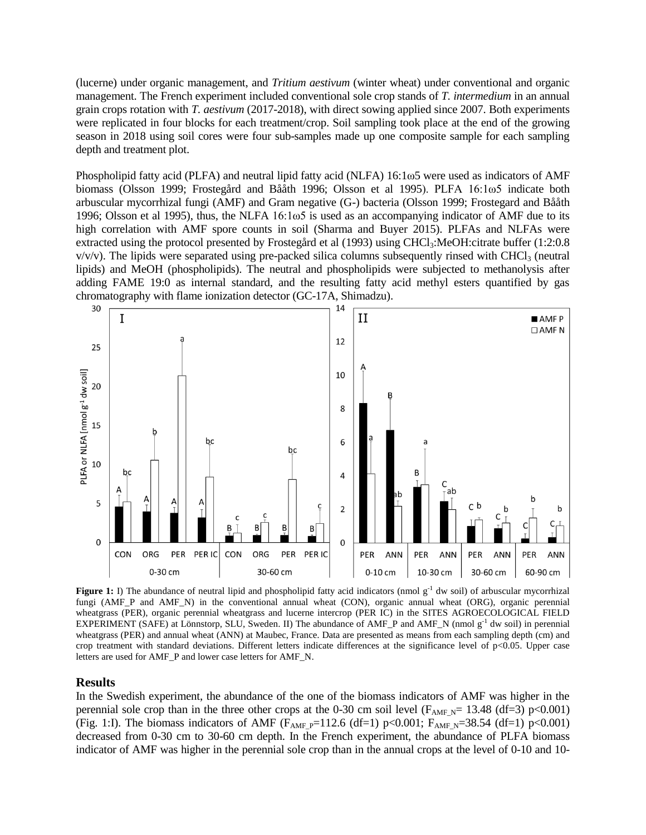(lucerne) under organic management, and *Tritium aestivum* (winter wheat) under conventional and organic management. The French experiment included conventional sole crop stands of *T. intermedium* in an annual grain crops rotation with *T. aestivum* (2017-2018), with direct sowing applied since 2007. Both experiments were replicated in four blocks for each treatment/crop. Soil sampling took place at the end of the growing season in 2018 using soil cores were four sub-samples made up one composite sample for each sampling depth and treatment plot.

Phospholipid fatty acid (PLFA) and neutral lipid fatty acid (NLFA) 16:1ω5 were used as indicators of AMF biomass (Olsson 1999; Frostegård and Bååth 1996; Olsson et al 1995). PLFA 16:1ω5 indicate both arbuscular mycorrhizal fungi (AMF) and Gram negative (G-) bacteria (Olsson 1999; Frostegard and Bååth 1996; Olsson et al 1995), thus, the NLFA 16:1ω5 is used as an accompanying indicator of AMF due to its high correlation with AMF spore counts in soil (Sharma and Buyer 2015). PLFAs and NLFAs were extracted using the protocol presented by Frostegård et al (1993) using CHCl<sub>3</sub>:MeOH:citrate buffer (1:2:0.8  $v/v/v$ ). The lipids were separated using pre-packed silica columns subsequently rinsed with CHCl<sub>3</sub> (neutral lipids) and MeOH (phospholipids). The neutral and phospholipids were subjected to methanolysis after adding FAME 19:0 as internal standard, and the resulting fatty acid methyl esters quantified by gas chromatography with flame ionization detector (GC-17A, Shimadzu).



**Figure 1:** I) The abundance of neutral lipid and phospholipid fatty acid indicators (nmol g<sup>-1</sup> dw soil) of arbuscular mycorrhizal fungi (AMF\_P and AMF\_N) in the conventional annual wheat (CON), organic annual wheat (ORG), organic perennial wheatgrass (PER), organic perennial wheatgrass and lucerne intercrop (PER IC) in the SITES AGROECOLOGICAL FIELD EXPERIMENT (SAFE) at Lönnstorp, SLU, Sweden. II) The abundance of AMF\_P and AMF\_N (nmol  $g^{-1}$  dw soil) in perennial wheatgrass (PER) and annual wheat (ANN) at Maubec, France. Data are presented as means from each sampling depth (cm) and crop treatment with standard deviations. Different letters indicate differences at the significance level of  $p<0.05$ . Upper case letters are used for AMF\_P and lower case letters for AMF\_N.

#### **Results**

In the Swedish experiment, the abundance of the one of the biomass indicators of AMF was higher in the perennial sole crop than in the three other crops at the 0-30 cm soil level ( $F_{AMF,N}$ = 13.48 (df=3) p<0.001) (Fig. 1:I). The biomass indicators of AMF ( $F_{AMF_P}$ =112.6 (df=1) p<0.001;  $F_{AMF_N}$ =38.54 (df=1) p<0.001) decreased from 0-30 cm to 30-60 cm depth. In the French experiment, the abundance of PLFA biomass indicator of AMF was higher in the perennial sole crop than in the annual crops at the level of 0-10 and 10-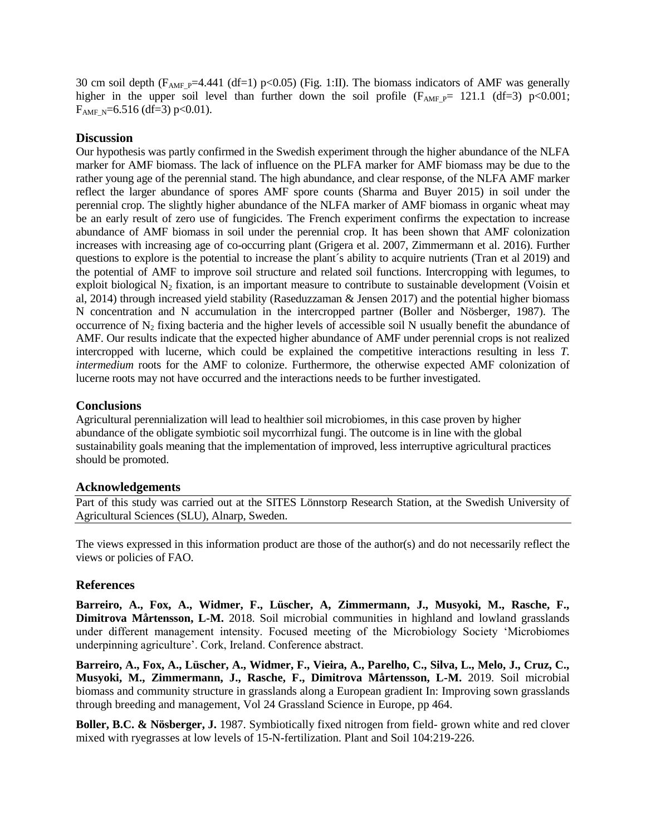30 cm soil depth  $(F_{AMF_P}=4.441 \text{ (df=1) p<0.05) (Fig. 1:II)}$ . The biomass indicators of AMF was generally higher in the upper soil level than further down the soil profile ( $F_{AMF}$  p= 121.1 (df=3) p<0.001;  $F_{AMF,N}$ =6.516 (df=3) p<0.01).

#### **Discussion**

Our hypothesis was partly confirmed in the Swedish experiment through the higher abundance of the NLFA marker for AMF biomass. The lack of influence on the PLFA marker for AMF biomass may be due to the rather young age of the perennial stand. The high abundance, and clear response, of the NLFA AMF marker reflect the larger abundance of spores AMF spore counts (Sharma and Buyer 2015) in soil under the perennial crop. The slightly higher abundance of the NLFA marker of AMF biomass in organic wheat may be an early result of zero use of fungicides. The French experiment confirms the expectation to increase abundance of AMF biomass in soil under the perennial crop. It has been shown that AMF colonization increases with increasing age of co-occurring plant (Grigera et al. 2007, Zimmermann et al. 2016). Further questions to explore is the potential to increase the plant´s ability to acquire nutrients (Tran et al 2019) and the potential of AMF to improve soil structure and related soil functions. Intercropping with legumes, to exploit biological  $N_2$  fixation, is an important measure to contribute to sustainable development (Voisin et al, 2014) through increased yield stability (Raseduzzaman & Jensen 2017) and the potential higher biomass N concentration and N accumulation in the intercropped partner (Boller and Nösberger, 1987). The occurrence of  $N_2$  fixing bacteria and the higher levels of accessible soil N usually benefit the abundance of AMF. Our results indicate that the expected higher abundance of AMF under perennial crops is not realized intercropped with lucerne, which could be explained the competitive interactions resulting in less *T. intermedium* roots for the AMF to colonize. Furthermore, the otherwise expected AMF colonization of lucerne roots may not have occurred and the interactions needs to be further investigated.

#### **Conclusions**

Agricultural perennialization will lead to healthier soil microbiomes, in this case proven by higher abundance of the obligate symbiotic soil mycorrhizal fungi. The outcome is in line with the global sustainability goals meaning that the implementation of improved, less interruptive agricultural practices should be promoted.

#### **Acknowledgements**

Part of this study was carried out at the SITES Lönnstorp Research Station, at the Swedish University of Agricultural Sciences (SLU), Alnarp, Sweden.

The views expressed in this information product are those of the author(s) and do not necessarily reflect the views or policies of FAO.

#### **References**

**Barreiro, A., Fox, A., Widmer, F., Lüscher, A, Zimmermann, J., Musyoki, M., Rasche, F., Dimitrova Mårtensson, L-M.** 2018. Soil microbial communities in highland and lowland grasslands under different management intensity. Focused meeting of the Microbiology Society 'Microbiomes underpinning agriculture'. Cork, Ireland. Conference abstract.

**Barreiro, A., Fox, A., Lüscher, A., Widmer, F., Vieira, A., Parelho, C., Silva, L., Melo, J., Cruz, C., Musyoki, M., Zimmermann, J., Rasche, F., Dimitrova Mårtensson, L-M.** 2019. Soil microbial biomass and community structure in grasslands along a European gradient In: Improving sown grasslands through breeding and management, Vol 24 Grassland Science in Europe, pp 464.

**Boller, B.C. & Nösberger, J.** 1987. Symbiotically fixed nitrogen from field- grown white and red clover mixed with ryegrasses at low levels of 15-N-fertilization. Plant and Soil 104:219-226.